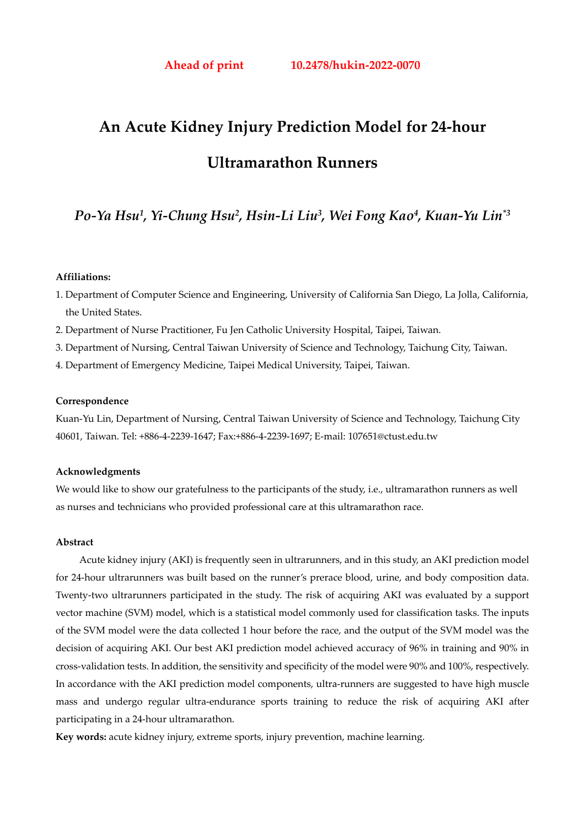# **An Acute Kidney Injury Prediction Model for 24-hour Ultramarathon Runners**

# *Po-Ya Hsu1, Yi-Chung Hsu2, Hsin-Li Liu3, Wei Fong Kao4, Kuan-Yu Lin\*3*

## **Affiliations:**

- 1. Department of Computer Science and Engineering, University of California San Diego, La Jolla, California, the United States.
- 2. Department of Nurse Practitioner, Fu Jen Catholic University Hospital, Taipei, Taiwan.
- 3. Department of Nursing, Central Taiwan University of Science and Technology, Taichung City, Taiwan.
- 4. Department of Emergency Medicine, Taipei Medical University, Taipei, Taiwan.

#### **Correspondence**

Kuan-Yu Lin, Department of Nursing, Central Taiwan University of Science and Technology, Taichung City 40601, Taiwan. Tel: +886-4-2239-1647; Fax:+886-4-2239-1697; E-mail: 107651@ctust.edu.tw

#### **Acknowledgments**

We would like to show our gratefulness to the participants of the study, i.e., ultramarathon runners as well as nurses and technicians who provided professional care at this ultramarathon race.

#### **Abstract**

Acute kidney injury (AKI) is frequently seen in ultrarunners, and in this study, an AKI prediction model for 24-hour ultrarunners was built based on the runner's prerace blood, urine, and body composition data. Twenty-two ultrarunners participated in the study. The risk of acquiring AKI was evaluated by a support vector machine (SVM) model, which is a statistical model commonly used for classification tasks. The inputs of the SVM model were the data collected 1 hour before the race, and the output of the SVM model was the decision of acquiring AKI. Our best AKI prediction model achieved accuracy of 96% in training and 90% in cross-validation tests. In addition, the sensitivity and specificity of the model were 90% and 100%, respectively. In accordance with the AKI prediction model components, ultra-runners are suggested to have high muscle mass and undergo regular ultra-endurance sports training to reduce the risk of acquiring AKI after participating in a 24-hour ultramarathon.

**Key words:** acute kidney injury, extreme sports, injury prevention, machine learning.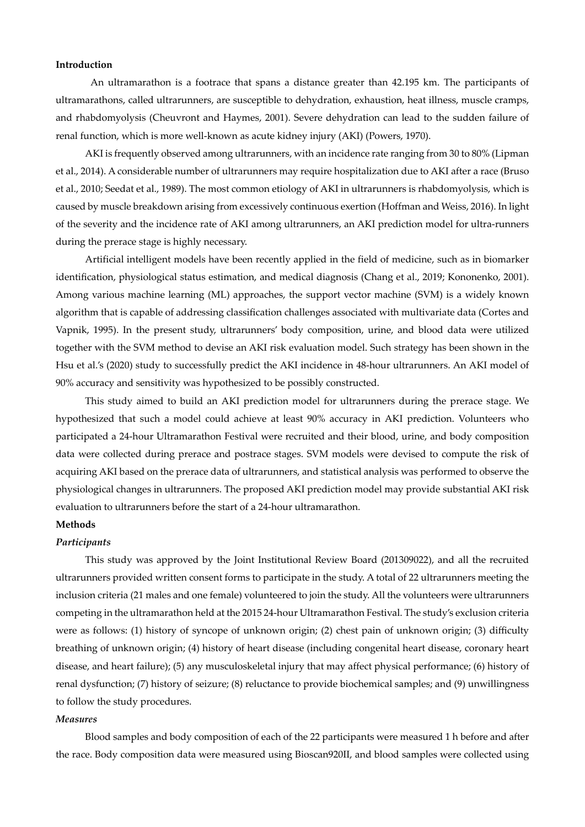#### **Introduction**

An ultramarathon is a footrace that spans a distance greater than 42.195 km. The participants of ultramarathons, called ultrarunners, are susceptible to dehydration, exhaustion, heat illness, muscle cramps, and rhabdomyolysis (Cheuvront and Haymes, 2001). Severe dehydration can lead to the sudden failure of renal function, which is more well-known as acute kidney injury (AKI) (Powers, 1970).

AKI is frequently observed among ultrarunners, with an incidence rate ranging from 30 to 80% (Lipman et al., 2014). A considerable number of ultrarunners may require hospitalization due to AKI after a race (Bruso et al., 2010; Seedat et al., 1989). The most common etiology of AKI in ultrarunners is rhabdomyolysis, which is caused by muscle breakdown arising from excessively continuous exertion (Hoffman and Weiss, 2016). In light of the severity and the incidence rate of AKI among ultrarunners, an AKI prediction model for ultra-runners during the prerace stage is highly necessary.

Artificial intelligent models have been recently applied in the field of medicine, such as in biomarker identification, physiological status estimation, and medical diagnosis (Chang et al., 2019; Kononenko, 2001). Among various machine learning (ML) approaches, the support vector machine (SVM) is a widely known algorithm that is capable of addressing classification challenges associated with multivariate data (Cortes and Vapnik, 1995). In the present study, ultrarunners' body composition, urine, and blood data were utilized together with the SVM method to devise an AKI risk evaluation model. Such strategy has been shown in the Hsu et al.'s (2020) study to successfully predict the AKI incidence in 48-hour ultrarunners. An AKI model of 90% accuracy and sensitivity was hypothesized to be possibly constructed.

This study aimed to build an AKI prediction model for ultrarunners during the prerace stage. We hypothesized that such a model could achieve at least 90% accuracy in AKI prediction. Volunteers who participated a 24-hour Ultramarathon Festival were recruited and their blood, urine, and body composition data were collected during prerace and postrace stages. SVM models were devised to compute the risk of acquiring AKI based on the prerace data of ultrarunners, and statistical analysis was performed to observe the physiological changes in ultrarunners. The proposed AKI prediction model may provide substantial AKI risk evaluation to ultrarunners before the start of a 24-hour ultramarathon.

## **Methods**

#### *Participants*

This study was approved by the Joint Institutional Review Board (201309022), and all the recruited ultrarunners provided written consent forms to participate in the study. A total of 22 ultrarunners meeting the inclusion criteria (21 males and one female) volunteered to join the study. All the volunteers were ultrarunners competing in the ultramarathon held at the 2015 24-hour Ultramarathon Festival. The study's exclusion criteria were as follows: (1) history of syncope of unknown origin; (2) chest pain of unknown origin; (3) difficulty breathing of unknown origin; (4) history of heart disease (including congenital heart disease, coronary heart disease, and heart failure); (5) any musculoskeletal injury that may affect physical performance; (6) history of renal dysfunction; (7) history of seizure; (8) reluctance to provide biochemical samples; and (9) unwillingness to follow the study procedures.

#### *Measures*

Blood samples and body composition of each of the 22 participants were measured 1 h before and after the race. Body composition data were measured using Bioscan920II, and blood samples were collected using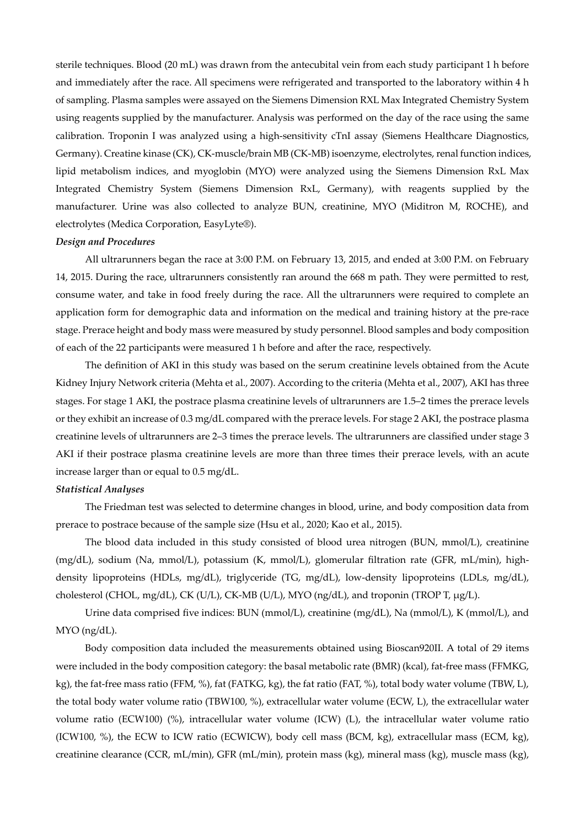sterile techniques. Blood (20 mL) was drawn from the antecubital vein from each study participant 1 h before and immediately after the race. All specimens were refrigerated and transported to the laboratory within 4 h of sampling. Plasma samples were assayed on the Siemens Dimension RXL Max Integrated Chemistry System using reagents supplied by the manufacturer. Analysis was performed on the day of the race using the same calibration. Troponin I was analyzed using a high-sensitivity cTnI assay (Siemens Healthcare Diagnostics, Germany). Creatine kinase (CK), CK-muscle/brain MB (CK-MB) isoenzyme, electrolytes, renal function indices, lipid metabolism indices, and myoglobin (MYO) were analyzed using the Siemens Dimension RxL Max Integrated Chemistry System (Siemens Dimension RxL, Germany), with reagents supplied by the manufacturer. Urine was also collected to analyze BUN, creatinine, MYO (Miditron M, ROCHE), and electrolytes (Medica Corporation, EasyLyte®).

#### *Design and Procedures*

All ultrarunners began the race at 3:00 P.M. on February 13, 2015, and ended at 3:00 P.M. on February 14, 2015. During the race, ultrarunners consistently ran around the 668 m path. They were permitted to rest, consume water, and take in food freely during the race. All the ultrarunners were required to complete an application form for demographic data and information on the medical and training history at the pre-race stage. Prerace height and body mass were measured by study personnel. Blood samples and body composition of each of the 22 participants were measured 1 h before and after the race, respectively.

The definition of AKI in this study was based on the serum creatinine levels obtained from the Acute Kidney Injury Network criteria (Mehta et al., 2007). According to the criteria (Mehta et al., 2007), AKI has three stages. For stage 1 AKI, the postrace plasma creatinine levels of ultrarunners are 1.5–2 times the prerace levels or they exhibit an increase of 0.3 mg/dL compared with the prerace levels. For stage 2 AKI, the postrace plasma creatinine levels of ultrarunners are 2–3 times the prerace levels. The ultrarunners are classified under stage 3 AKI if their postrace plasma creatinine levels are more than three times their prerace levels, with an acute increase larger than or equal to 0.5 mg/dL.

#### *Statistical Analyses*

The Friedman test was selected to determine changes in blood, urine, and body composition data from prerace to postrace because of the sample size (Hsu et al., 2020; Kao et al., 2015).

The blood data included in this study consisted of blood urea nitrogen (BUN, mmol/L), creatinine (mg/dL), sodium (Na, mmol/L), potassium (K, mmol/L), glomerular filtration rate (GFR, mL/min), highdensity lipoproteins (HDLs, mg/dL), triglyceride (TG, mg/dL), low-density lipoproteins (LDLs, mg/dL), cholesterol (CHOL, mg/dL), CK (U/L), CK-MB (U/L), MYO (ng/dL), and troponin (TROP T, μg/L).

Urine data comprised five indices: BUN (mmol/L), creatinine (mg/dL), Na (mmol/L), K (mmol/L), and MYO (ng/dL).

Body composition data included the measurements obtained using Bioscan920II. A total of 29 items were included in the body composition category: the basal metabolic rate (BMR) (kcal), fat-free mass (FFMKG, kg), the fat-free mass ratio (FFM, %), fat (FATKG, kg), the fat ratio (FAT, %), total body water volume (TBW, L), the total body water volume ratio (TBW100, %), extracellular water volume (ECW, L), the extracellular water volume ratio (ECW100) (%), intracellular water volume (ICW) (L), the intracellular water volume ratio (ICW100, %), the ECW to ICW ratio (ECWICW), body cell mass (BCM, kg), extracellular mass (ECM, kg), creatinine clearance (CCR, mL/min), GFR (mL/min), protein mass (kg), mineral mass (kg), muscle mass (kg),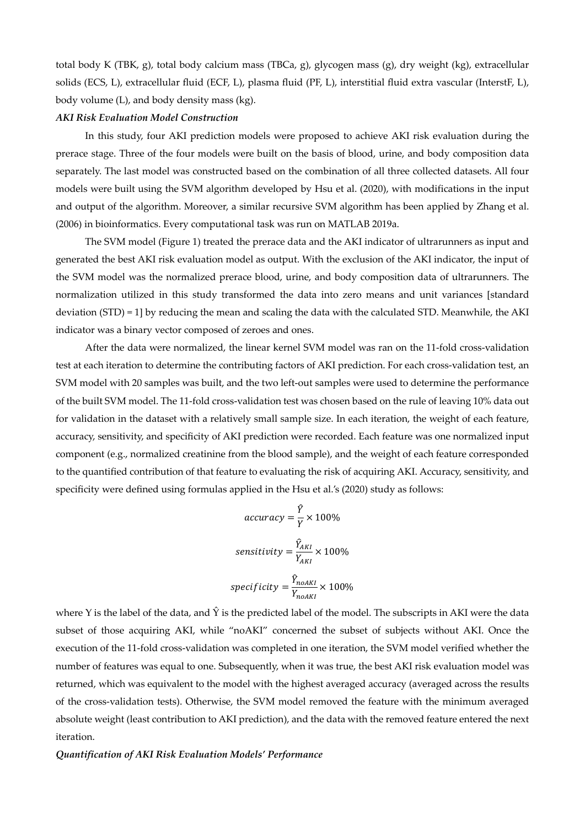total body K (TBK, g), total body calcium mass (TBCa, g), glycogen mass (g), dry weight (kg), extracellular solids (ECS, L), extracellular fluid (ECF, L), plasma fluid (PF, L), interstitial fluid extra vascular (InterstF, L), body volume (L), and body density mass (kg).

#### *AKI Risk Evaluation Model Construction*

In this study, four AKI prediction models were proposed to achieve AKI risk evaluation during the prerace stage. Three of the four models were built on the basis of blood, urine, and body composition data separately. The last model was constructed based on the combination of all three collected datasets. All four models were built using the SVM algorithm developed by Hsu et al. (2020), with modifications in the input and output of the algorithm. Moreover, a similar recursive SVM algorithm has been applied by Zhang et al. (2006) in bioinformatics. Every computational task was run on MATLAB 2019a.

The SVM model (Figure 1) treated the prerace data and the AKI indicator of ultrarunners as input and generated the best AKI risk evaluation model as output. With the exclusion of the AKI indicator, the input of the SVM model was the normalized prerace blood, urine, and body composition data of ultrarunners. The normalization utilized in this study transformed the data into zero means and unit variances [standard deviation (STD) = 1] by reducing the mean and scaling the data with the calculated STD. Meanwhile, the AKI indicator was a binary vector composed of zeroes and ones.

After the data were normalized, the linear kernel SVM model was ran on the 11-fold cross-validation test at each iteration to determine the contributing factors of AKI prediction. For each cross-validation test, an SVM model with 20 samples was built, and the two left-out samples were used to determine the performance of the built SVM model. The 11-fold cross-validation test was chosen based on the rule of leaving 10% data out for validation in the dataset with a relatively small sample size. In each iteration, the weight of each feature, accuracy, sensitivity, and specificity of AKI prediction were recorded. Each feature was one normalized input component (e.g., normalized creatinine from the blood sample), and the weight of each feature corresponded to the quantified contribution of that feature to evaluating the risk of acquiring AKI. Accuracy, sensitivity, and specificity were defined using formulas applied in the Hsu et al.'s (2020) study as follows:

$$
accuracy = \frac{\hat{Y}}{Y} \times 100\%
$$
  
sensitivity =  $\frac{\hat{Y}_{AKI}}{Y_{AKI}} \times 100\%$   
specificity =  $\frac{\hat{Y}_{noAKI}}{Y_{noAKI}} \times 100\%$ 

where Y is the label of the data, and  $\hat{Y}$  is the predicted label of the model. The subscripts in AKI were the data subset of those acquiring AKI, while "noAKI" concerned the subset of subjects without AKI. Once the execution of the 11-fold cross-validation was completed in one iteration, the SVM model verified whether the number of features was equal to one. Subsequently, when it was true, the best AKI risk evaluation model was returned, which was equivalent to the model with the highest averaged accuracy (averaged across the results of the cross-validation tests). Otherwise, the SVM model removed the feature with the minimum averaged absolute weight (least contribution to AKI prediction), and the data with the removed feature entered the next iteration.

#### *Quantification of AKI Risk Evaluation Models' Performance*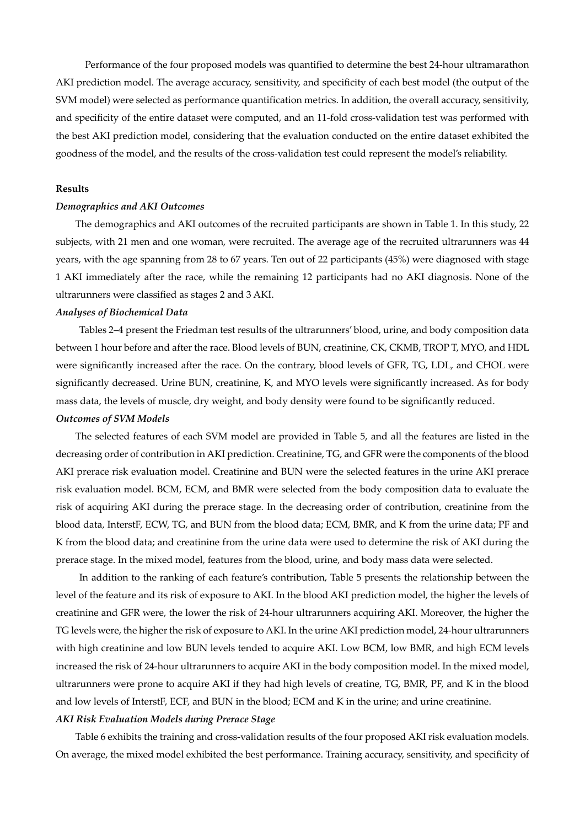Performance of the four proposed models was quantified to determine the best 24-hour ultramarathon AKI prediction model. The average accuracy, sensitivity, and specificity of each best model (the output of the SVM model) were selected as performance quantification metrics. In addition, the overall accuracy, sensitivity, and specificity of the entire dataset were computed, and an 11-fold cross-validation test was performed with the best AKI prediction model, considering that the evaluation conducted on the entire dataset exhibited the goodness of the model, and the results of the cross-validation test could represent the model's reliability.

#### **Results**

#### *Demographics and AKI Outcomes*

The demographics and AKI outcomes of the recruited participants are shown in Table 1. In this study, 22 subjects, with 21 men and one woman, were recruited. The average age of the recruited ultrarunners was 44 years, with the age spanning from 28 to 67 years. Ten out of 22 participants (45%) were diagnosed with stage 1 AKI immediately after the race, while the remaining 12 participants had no AKI diagnosis. None of the ultrarunners were classified as stages 2 and 3 AKI.

#### *Analyses of Biochemical Data*

Tables 2–4 present the Friedman test results of the ultrarunners' blood, urine, and body composition data between 1 hour before and after the race. Blood levels of BUN, creatinine, CK, CKMB, TROP T, MYO, and HDL were significantly increased after the race. On the contrary, blood levels of GFR, TG, LDL, and CHOL were significantly decreased. Urine BUN, creatinine, K, and MYO levels were significantly increased. As for body mass data, the levels of muscle, dry weight, and body density were found to be significantly reduced.

#### *Outcomes of SVM Models*

The selected features of each SVM model are provided in Table 5, and all the features are listed in the decreasing order of contribution in AKI prediction. Creatinine, TG, and GFR were the components of the blood AKI prerace risk evaluation model. Creatinine and BUN were the selected features in the urine AKI prerace risk evaluation model. BCM, ECM, and BMR were selected from the body composition data to evaluate the risk of acquiring AKI during the prerace stage. In the decreasing order of contribution, creatinine from the blood data, InterstF, ECW, TG, and BUN from the blood data; ECM, BMR, and K from the urine data; PF and K from the blood data; and creatinine from the urine data were used to determine the risk of AKI during the prerace stage. In the mixed model, features from the blood, urine, and body mass data were selected.

In addition to the ranking of each feature's contribution, Table 5 presents the relationship between the level of the feature and its risk of exposure to AKI. In the blood AKI prediction model, the higher the levels of creatinine and GFR were, the lower the risk of 24-hour ultrarunners acquiring AKI. Moreover, the higher the TG levels were, the higher the risk of exposure to AKI. In the urine AKI prediction model, 24-hour ultrarunners with high creatinine and low BUN levels tended to acquire AKI. Low BCM, low BMR, and high ECM levels increased the risk of 24-hour ultrarunners to acquire AKI in the body composition model. In the mixed model, ultrarunners were prone to acquire AKI if they had high levels of creatine, TG, BMR, PF, and K in the blood and low levels of InterstF, ECF, and BUN in the blood; ECM and K in the urine; and urine creatinine.

#### *AKI Risk Evaluation Models during Prerace Stage*

Table 6 exhibits the training and cross-validation results of the four proposed AKI risk evaluation models. On average, the mixed model exhibited the best performance. Training accuracy, sensitivity, and specificity of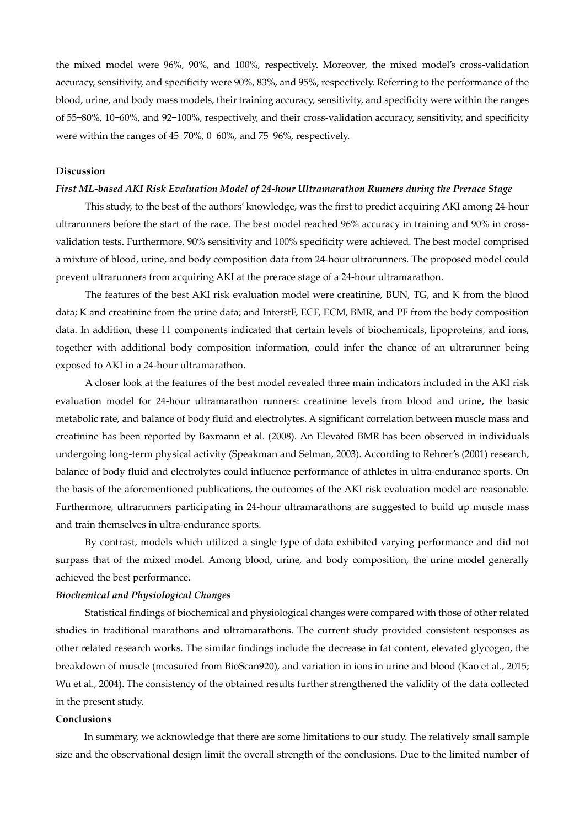the mixed model were 96%, 90%, and 100%, respectively. Moreover, the mixed model's cross-validation accuracy, sensitivity, and specificity were 90%, 83%, and 95%, respectively. Referring to the performance of the blood, urine, and body mass models, their training accuracy, sensitivity, and specificity were within the ranges of 55−80%, 10−60%, and 92−100%, respectively, and their cross-validation accuracy, sensitivity, and specificity were within the ranges of 45−70%, 0−60%, and 75−96%, respectively.

#### **Discussion**

## *First ML-based AKI Risk Evaluation Model of 24-hour Ultramarathon Runners during the Prerace Stage*

This study, to the best of the authors' knowledge, was the first to predict acquiring AKI among 24-hour ultrarunners before the start of the race. The best model reached 96% accuracy in training and 90% in crossvalidation tests. Furthermore, 90% sensitivity and 100% specificity were achieved. The best model comprised a mixture of blood, urine, and body composition data from 24-hour ultrarunners. The proposed model could prevent ultrarunners from acquiring AKI at the prerace stage of a 24-hour ultramarathon.

The features of the best AKI risk evaluation model were creatinine, BUN, TG, and K from the blood data; K and creatinine from the urine data; and InterstF, ECF, ECM, BMR, and PF from the body composition data. In addition, these 11 components indicated that certain levels of biochemicals, lipoproteins, and ions, together with additional body composition information, could infer the chance of an ultrarunner being exposed to AKI in a 24-hour ultramarathon.

A closer look at the features of the best model revealed three main indicators included in the AKI risk evaluation model for 24-hour ultramarathon runners: creatinine levels from blood and urine, the basic metabolic rate, and balance of body fluid and electrolytes. A significant correlation between muscle mass and creatinine has been reported by Baxmann et al. (2008). An Elevated BMR has been observed in individuals undergoing long-term physical activity (Speakman and Selman, 2003). According to Rehrer's (2001) research, balance of body fluid and electrolytes could influence performance of athletes in ultra-endurance sports. On the basis of the aforementioned publications, the outcomes of the AKI risk evaluation model are reasonable. Furthermore, ultrarunners participating in 24-hour ultramarathons are suggested to build up muscle mass and train themselves in ultra-endurance sports.

By contrast, models which utilized a single type of data exhibited varying performance and did not surpass that of the mixed model. Among blood, urine, and body composition, the urine model generally achieved the best performance.

## *Biochemical and Physiological Changes*

Statistical findings of biochemical and physiological changes were compared with those of other related studies in traditional marathons and ultramarathons. The current study provided consistent responses as other related research works. The similar findings include the decrease in fat content, elevated glycogen, the breakdown of muscle (measured from BioScan920), and variation in ions in urine and blood (Kao et al., 2015; Wu et al., 2004). The consistency of the obtained results further strengthened the validity of the data collected in the present study.

#### **Conclusions**

In summary, we acknowledge that there are some limitations to our study. The relatively small sample size and the observational design limit the overall strength of the conclusions. Due to the limited number of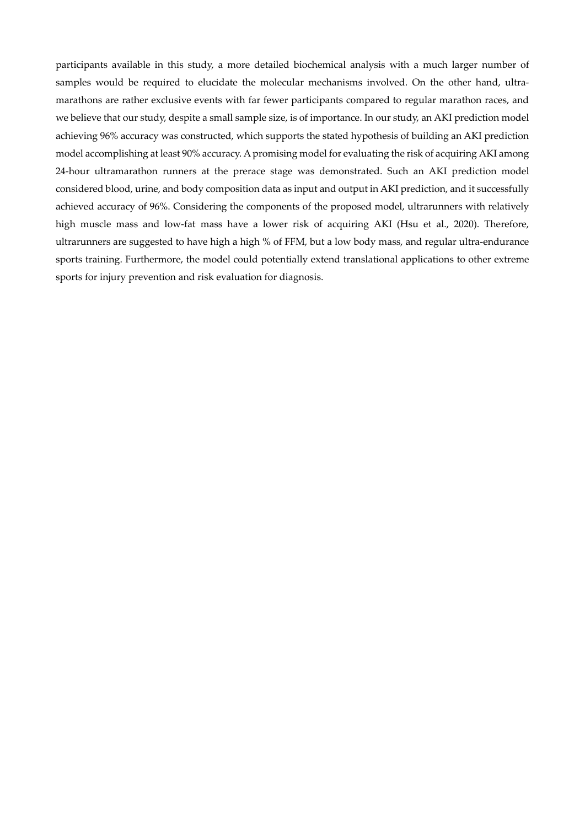participants available in this study, a more detailed biochemical analysis with a much larger number of samples would be required to elucidate the molecular mechanisms involved. On the other hand, ultramarathons are rather exclusive events with far fewer participants compared to regular marathon races, and we believe that our study, despite a small sample size, is of importance. In our study, an AKI prediction model achieving 96% accuracy was constructed, which supports the stated hypothesis of building an AKI prediction model accomplishing at least 90% accuracy. A promising model for evaluating the risk of acquiring AKI among 24-hour ultramarathon runners at the prerace stage was demonstrated. Such an AKI prediction model considered blood, urine, and body composition data as input and output in AKI prediction, and it successfully achieved accuracy of 96%. Considering the components of the proposed model, ultrarunners with relatively high muscle mass and low-fat mass have a lower risk of acquiring AKI (Hsu et al., 2020). Therefore, ultrarunners are suggested to have high a high % of FFM, but a low body mass, and regular ultra-endurance sports training. Furthermore, the model could potentially extend translational applications to other extreme sports for injury prevention and risk evaluation for diagnosis.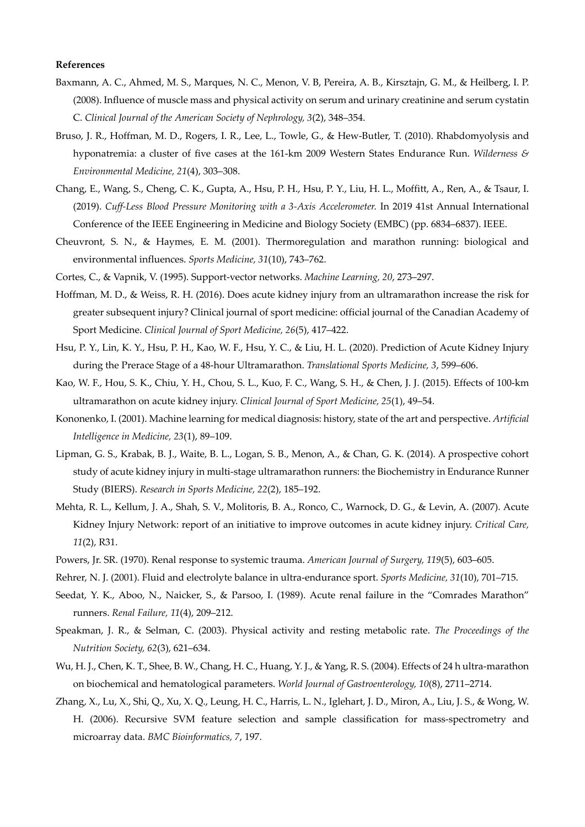#### **References**

- Baxmann, A. C., Ahmed, M. S., Marques, N. C., Menon, V. B, Pereira, A. B., Kirsztajn, G. M., & Heilberg, I. P. (2008). Influence of muscle mass and physical activity on serum and urinary creatinine and serum cystatin C. *Clinical Journal of the American Society of Nephrology, 3*(2), 348–354.
- Bruso, J. R., Hoffman, M. D., Rogers, I. R., Lee, L., Towle, G., & Hew-Butler, T. (2010). Rhabdomyolysis and hyponatremia: a cluster of five cases at the 161-km 2009 Western States Endurance Run. *Wilderness & Environmental Medicine, 21*(4), 303–308.
- Chang, E., Wang, S., Cheng, C. K., Gupta, A., Hsu, P. H., Hsu, P. Y., Liu, H. L., Moffitt, A., Ren, A., & Tsaur, I. (2019). *Cuff-Less Blood Pressure Monitoring with a 3-Axis Accelerometer.* In 2019 41st Annual International Conference of the IEEE Engineering in Medicine and Biology Society (EMBC) (pp. 6834–6837). IEEE.
- Cheuvront, S. N., & Haymes, E. M. (2001). Thermoregulation and marathon running: biological and environmental influences. *Sports Medicine, 31*(10), 743–762.
- Cortes, C., & Vapnik, V. (1995). Support-vector networks. *Machine Learning, 20*, 273–297.
- Hoffman, M. D., & Weiss, R. H. (2016). Does acute kidney injury from an ultramarathon increase the risk for greater subsequent injury? Clinical journal of sport medicine: official journal of the Canadian Academy of Sport Medicine. *Clinical Journal of Sport Medicine, 26*(5), 417–422.
- Hsu, P. Y., Lin, K. Y., Hsu, P. H., Kao, W. F., Hsu, Y. C., & Liu, H. L. (2020). Prediction of Acute Kidney Injury during the Prerace Stage of a 48-hour Ultramarathon. *Translational Sports Medicine, 3*, 599–606.
- Kao, W. F., Hou, S. K., Chiu, Y. H., Chou, S. L., Kuo, F. C., Wang, S. H., & Chen, J. J. (2015). Effects of 100-km ultramarathon on acute kidney injury. *Clinical Journal of Sport Medicine, 25*(1), 49–54.
- Kononenko, I. (2001). Machine learning for medical diagnosis: history, state of the art and perspective. *Artificial Intelligence in Medicine, 23*(1), 89–109.
- Lipman, G. S., Krabak, B. J., Waite, B. L., Logan, S. B., Menon, A., & Chan, G. K. (2014). A prospective cohort study of acute kidney injury in multi-stage ultramarathon runners: the Biochemistry in Endurance Runner Study (BIERS). *Research in Sports Medicine, 22*(2), 185–192.
- Mehta, R. L., Kellum, J. A., Shah, S. V., Molitoris, B. A., Ronco, C., Warnock, D. G., & Levin, A. (2007). Acute Kidney Injury Network: report of an initiative to improve outcomes in acute kidney injury. *Critical Care, 11*(2), R31.
- Powers, Jr. SR. (1970). Renal response to systemic trauma. *American Journal of Surgery, 119*(5), 603–605.
- Rehrer, N. J. (2001). Fluid and electrolyte balance in ultra-endurance sport. *Sports Medicine, 31*(10), 701–715.
- Seedat, Y. K., Aboo, N., Naicker, S., & Parsoo, I. (1989). Acute renal failure in the "Comrades Marathon" runners. *Renal Failure, 11*(4), 209–212.
- Speakman, J. R., & Selman, C. (2003). Physical activity and resting metabolic rate. *The Proceedings of the Nutrition Society, 62*(3), 621–634.
- Wu, H. J., Chen, K. T., Shee, B. W., Chang, H. C., Huang, Y. J., & Yang, R. S. (2004). Effects of 24 h ultra-marathon on biochemical and hematological parameters. *World Journal of Gastroenterology, 10*(8), 2711–2714.
- Zhang, X., Lu, X., Shi, Q., Xu, X. Q., Leung, H. C., Harris, L. N., Iglehart, J. D., Miron, A., Liu, J. S., & Wong, W. H. (2006). Recursive SVM feature selection and sample classification for mass-spectrometry and microarray data. *BMC Bioinformatics, 7*, 197.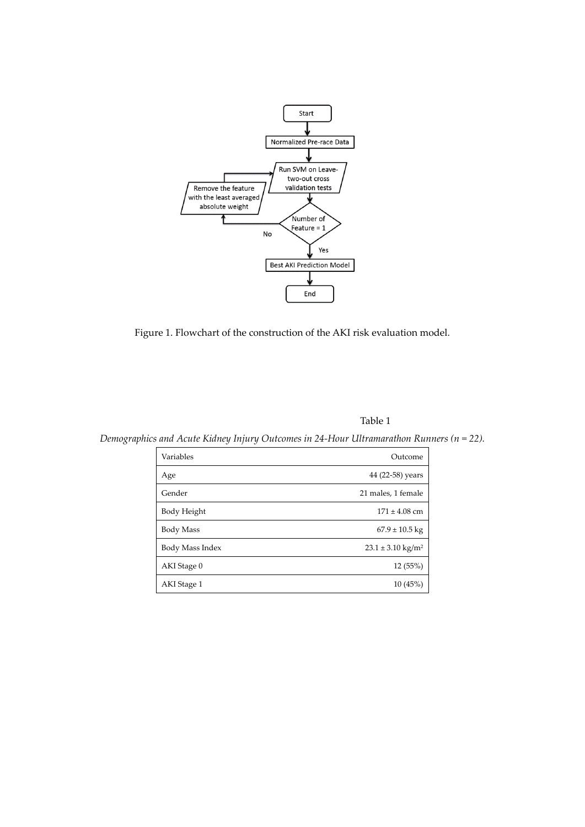

Figure 1. Flowchart of the construction of the AKI risk evaluation model.

Table 1

*Demographics and Acute Kidney Injury Outcomes in 24-Hour Ultramarathon Runners (n = 22).* 

| Variables       | Outcome                        |
|-----------------|--------------------------------|
| Age             | 44 (22-58) years               |
| Gender          | 21 males, 1 female             |
| Body Height     | $171 \pm 4.08$ cm              |
| Body Mass       | $67.9 \pm 10.5$ kg             |
| Body Mass Index | $23.1 \pm 3.10 \text{ kg/m}^2$ |
| AKI Stage 0     | 12 (55%)                       |
| AKI Stage 1     | 10(45%)                        |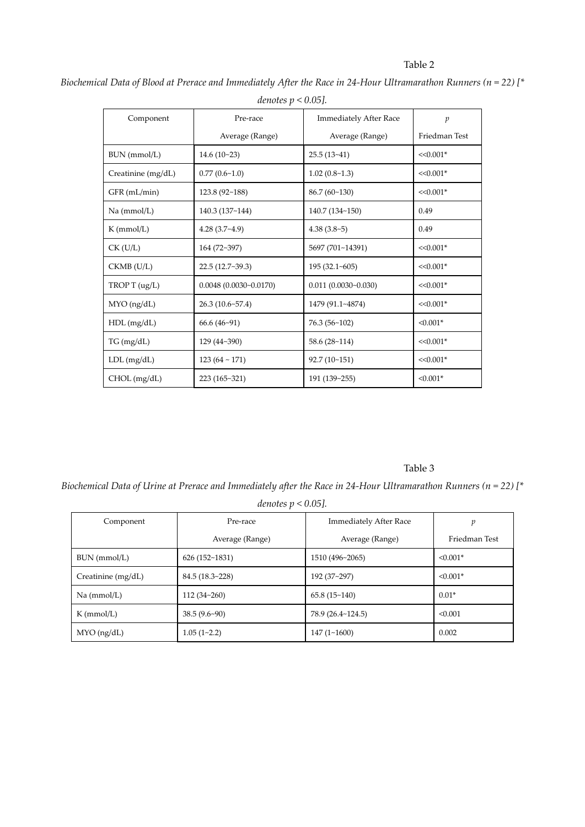## Table 2

*Biochemical Data of Blood at Prerace and Immediately After the Race in 24-Hour Ultramarathon Runners (n = 22) [\* denotes p < 0.05].* 

| Component          | Pre-race                  | <b>Immediately After Race</b> | $\mathfrak{p}$ |  |
|--------------------|---------------------------|-------------------------------|----------------|--|
|                    | Average (Range)           | Average (Range)               | Friedman Test  |  |
| BUN (mmol/L)       | $14.6(10-23)$             | $25.5(13-41)$                 | $<<0.001*$     |  |
| Creatinine (mg/dL) | 0.77(0.6~1.0)             | 1.02(0.8~1.3)                 | $<<0.001*$     |  |
| GFR (mL/min)       | 123.8 (92~188)            | $86.7(60-130)$                | $<<0.001*$     |  |
| Na (mmol/L)        | 140.3 (137~144)           | 140.7 (134~150)               | 0.49           |  |
| $K$ (mmol/L)       | $4.28(3.7-4.9)$           | $4.38(3.8-5)$                 | 0.49           |  |
| $CK$ (U/L)         | 164 (72~397)              | 5697 (701~14391)              | $<<0.001*$     |  |
| $CKMB$ ( $U/L$ )   | 22.5 (12.7~39.3)          | $195(32.1-605)$               | $<<0.001*$     |  |
| TROPT(ug/L)        | $0.0048(0.0030 - 0.0170)$ | $0.011(0.0030 - 0.030)$       | $<<0.001*$     |  |
| $MYO$ (ng/dL)      | 26.3(10.6~57.4)           | 1479 (91.1~4874)              | $<<0.001*$     |  |
| $HDL$ (mg/dL)      | $66.6(46-91)$             | 76.3(56~102)                  | $< 0.001*$     |  |
| TG (mg/dL)         | 129 (44~390)              | $58.6(28-114)$                | $<<0.001*$     |  |
| $LDL$ (mg/dL)      | $123(64 \sim 171)$        | 92.7(10~151)                  | $<<0.001*$     |  |
| CHOL (mg/dL)       | 223 (165~321)             | 191 (139~255)                 | $< 0.001*$     |  |

## Table 3

*Biochemical Data of Urine at Prerace and Immediately after the Race in 24-Hour Ultramarathon Runners (n = 22) [\** 

| Component          | Pre-race        | <b>Immediately After Race</b> |               |  |
|--------------------|-----------------|-------------------------------|---------------|--|
|                    | Average (Range) | Average (Range)               | Friedman Test |  |
| $BUN$ (mmol/L)     | 626 (152~1831)  | 1510 (496~2065)               | $< 0.001*$    |  |
| Creatinine (mg/dL) | 84.5(18.3~228)  | 192 (37~297)                  | $< 0.001*$    |  |
| Na (mmol/L)        | 112(34~260)     | 65.8(15~140)                  | $0.01*$       |  |
| $K$ (mmol/L)       | $38.5(9.6-90)$  | 78.9 (26.4~124.5)             | < 0.001       |  |
| $MYO$ (ng/dL)      | $1.05(1-2.2)$   | 147(1~1600)                   | 0.002         |  |

*denotes p < 0.05].*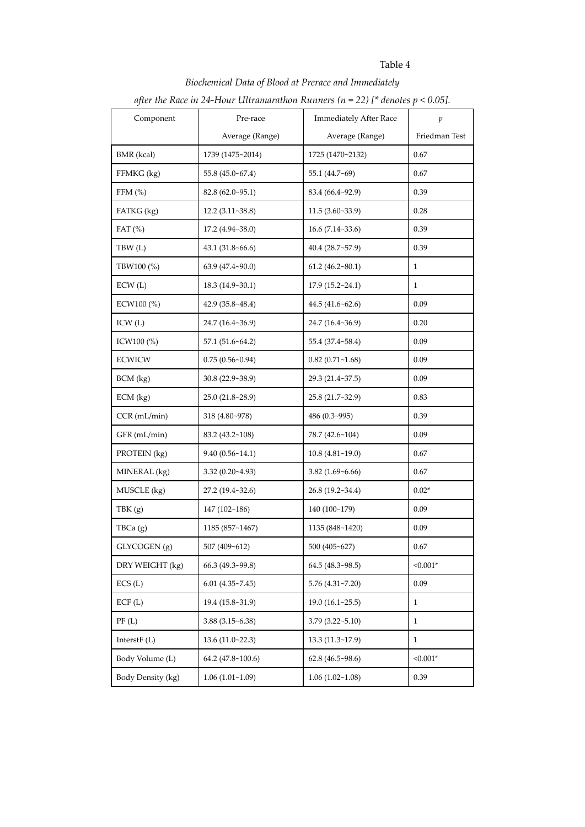## Table 4

# *Biochemical Data of Blood at Prerace and Immediately*

|                   | after the Race in 24-Hour Ultramarathon Runners ( $n = 22$ ) [* denotes $p < 0.05$ ]. |                          |               |
|-------------------|---------------------------------------------------------------------------------------|--------------------------|---------------|
| Component         | Pre-race<br><b>Immediately After Race</b>                                             |                          | p             |
|                   | Average (Range)                                                                       | Average (Range)          | Friedman Test |
| BMR (kcal)        | 1739 (1475~2014)                                                                      | 1725 (1470~2132)         | 0.67          |
| FFMKG (kg)        | 55.8 (45.0~67.4)                                                                      | 55.1 (44.7~69)           | 0.67          |
| FFM $(\%)$        | 82.8 (62.0~95.1)                                                                      | 83.4 (66.4~92.9)         | 0.39          |
| FATKG (kg)        | $12.2(3.11-38.8)$                                                                     | 11.5(3.60~3.9)           | 0.28          |
| FAT $(\%)$        | $17.2(4.94-38.0)$                                                                     | $16.6(7.14-33.6)$        | 0.39          |
| TBW (L)           | 43.1(31.8~66.6)                                                                       | $40.4(28.7-57.9)$        | 0.39          |
| TBW100 (%)        | $63.9(47.4-90.0)$                                                                     | $61.2(46.2 \times 80.1)$ | 1             |
| ECW(L)            | 18.3 (14.9~30.1)                                                                      | 17.9(15.2~24.1)          | $\mathbf{1}$  |
| ECW100 (%)        | 42.9 (35.8~48.4)                                                                      | 44.5 (41.6~62.6)         | 0.09          |
| ICW(L)            | 24.7 (16.4~36.9)                                                                      | 24.7 (16.4~36.9)         | 0.20          |
| ICW100 (%)        | 57.1(51.6~64.2)                                                                       | 55.4 (37.4~58.4)         | 0.09          |
| <b>ECWICW</b>     | 0.75(0.56~0.94)                                                                       | $0.82(0.71-1.68)$        | 0.09          |
| $BCM$ (kg)        | $30.8(22.9-38.9)$                                                                     | 29.3 (21.4~37.5)         | 0.09          |
| $ECM$ (kg)        | 25.0 (21.8~28.9)                                                                      | 25.8 (21.7~32.9)         | 0.83          |
| $CCR$ (mL/min)    | 318 (4.80~978)                                                                        | 486 (0.3~995)            | 0.39          |
| GFR (mL/min)      | 83.2 (43.2~108)                                                                       | 78.7 (42.6~104)          | 0.09          |
| PROTEIN (kg)      | 9.40(0.56~14.1)                                                                       | 10.8(4.81~19.0)          | 0.67          |
| MINERAL (kg)      | $3.32(0.20-4.93)$                                                                     | 3.82(1.69~6.66)          | 0.67          |
| MUSCLE (kg)       | 27.2(19.4~32.6)                                                                       | 26.8 (19.2~34.4)         | $0.02*$       |
| TBK(g)            | 147 (102~186)                                                                         | 140 (100~179)            | 0.09          |
| TBCa (g)          | 1185 (857~1467)                                                                       | 1135 (848~1420)          | 0.09          |
| GLYCOGEN (g)      | 507 (409~612)                                                                         | 500 (405~627)            | 0.67          |
| DRY WEIGHT (kg)   | 66.3 (49.3~99.8)                                                                      | 64.5 (48.3~98.5)         | $< 0.001*$    |
| ECS(L)            | 6.01(4.35~7.45)                                                                       | 5.76(4.31~7.20)          | 0.09          |
| ECF(L)            | 19.4 (15.8~31.9)                                                                      | 19.0(16.1~25.5)          | 1             |
| PF(L)             | $3.88(3.15-6.38)$                                                                     | $3.79(3.22 - 5.10)$      | 1             |
| Interst $F(L)$    | 13.6(11.0~22.3)                                                                       | 13.3 (11.3~17.9)         | 1             |
| Body Volume (L)   | 64.2 (47.8~100.6)                                                                     | 62.8(46.5~98.6)          | $< 0.001*$    |
| Body Density (kg) | 1.06(1.01~1.09)                                                                       | 1.06(1.02~1.08)          | 0.39          |

## *after the Race in 24-Hour Ultramarathon Runners (n = 22) [\* denotes p < 0.05].*